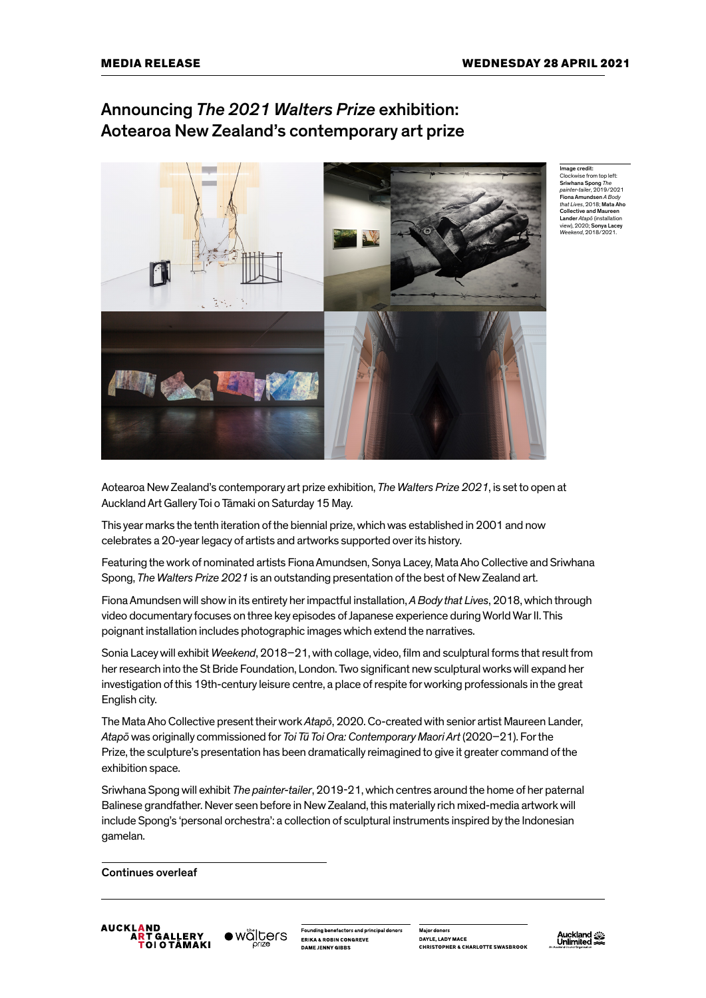## Announcing *The 2021 Walters Prize* exhibition: Aotearoa New Zealand's contemporary art prize



Image credit: Clockwise from top left: Sriwhana Spong *The painter-tailer*, 2019/2021 Fiona Amundsen *A Body that Lives*, 2018; Mata Aho Collective and Maureen Lander *Atapō* (installation view), 2020; Sonya Lacey *Weekend*, 2018/2021.

Aotearoa New Zealand's contemporary art prize exhibition, *The Walters Prize 2021*, is set to open at Auckland Art Gallery Toi o Tāmaki on Saturday 15 May.

This year marks the tenth iteration of the biennial prize, which was established in 2001 and now celebrates a 20-year legacy of artists and artworks supported over its history.

Featuring the work of nominated artists Fiona Amundsen, Sonya Lacey, Mata Aho Collective and Sriwhana Spong, *The Walters Prize 2021* is an outstanding presentation of the best of New Zealand art.

Fiona Amundsen will show in its entirety her impactful installation, *A Body that Lives*, 2018, which through video documentary focuses on three key episodes of Japanese experience during World War II. This poignant installation includes photographic images which extend the narratives.

Sonia Lacey will exhibit *Weekend*, 2018–21, with collage, video, film and sculptural forms that result from her research into the St Bride Foundation, London. Two significant new sculptural works will expand her investigation of this 19th-century leisure centre, a place of respite for working professionals in the great English city.

The Mata Aho Collective present their work *Atapō*, 2020. Co-created with senior artist Maureen Lander, *Atapō* was originally commissioned for *Toi Tū Toi Ora: Contemporary Maori Art* (2020–21). For the Prize, the sculpture's presentation has been dramatically reimagined to give it greater command of the exhibition space.

Sriwhana Spong will exhibit *The painter-tailer*, 2019-21, which centres around the home of her paternal Balinese grandfather. Never seen before in New Zealand, this materially rich mixed-media artwork will include Spong's 'personal orchestra': a collection of sculptural instruments inspired by the Indonesian gamelan.

Continues overleaf





Founding benefactors and principal donors **ERIKA & ROBIN CONGREVE** 

Major donors DAYLE, LADY MACE CHRISTOPHER & CHARLOTTE SWASRROOK

Auckland<br>Unlimited